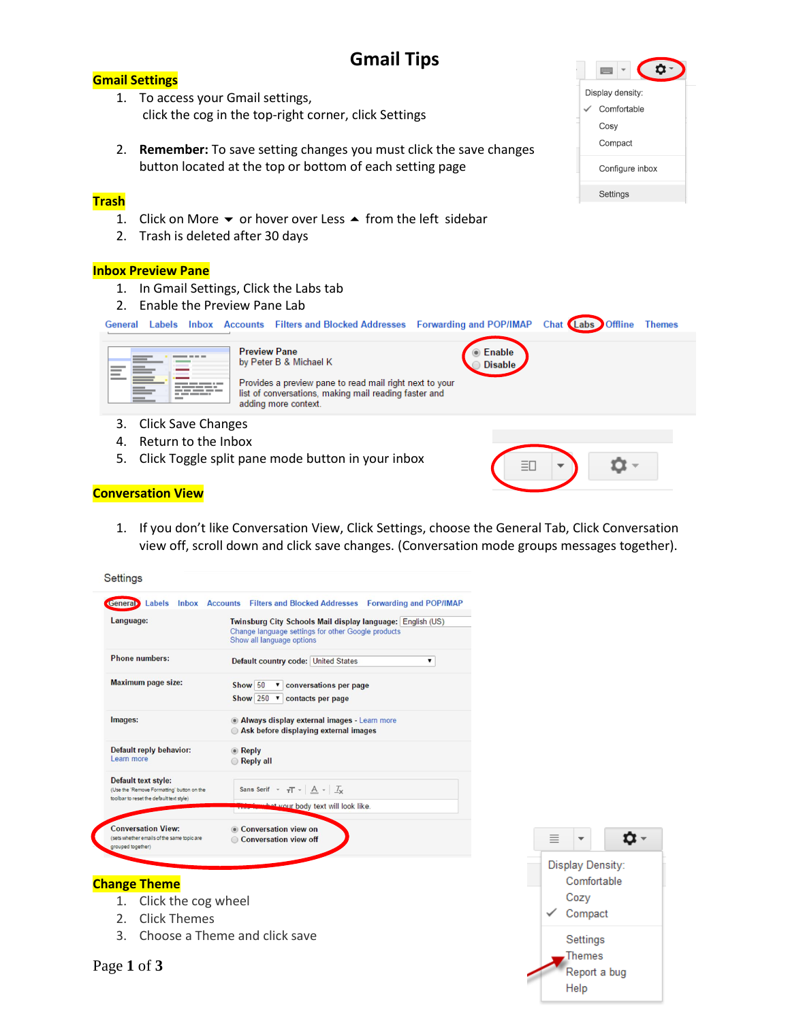# **Gmail Tips**

# **Gmail Settings**

- 1. To access your Gmail settings, click the cog in the top-right corner, click Settings
- 2. **Remember:** To save setting changes you must click the save changes button located at the top or bottom of each setting page

# **Trash**

- 1. Click on More  $\blacktriangledown$  or hover over Less  $\blacktriangle$  from the left sidebar
- 2. Trash is deleted after 30 days

## **Inbox Preview Pane**

- 1. In Gmail Settings, Click the Labs tab
- 2. Enable the Preview Pane Lab

General Labels Inbox Accounts Filters and Blocked Addresses Forwarding and POP/IMAP Chat Labs Offline Themes

| _____                                 | <b>Preview Pane</b><br>by Peter B & Michael K<br>Provides a preview pane to read mail right next to your<br>list of conversations, making mail reading faster and<br>adding more context. | Enable<br><b>Disable</b> |  |
|---------------------------------------|-------------------------------------------------------------------------------------------------------------------------------------------------------------------------------------------|--------------------------|--|
| <b>Click Save Changes</b><br>3.       |                                                                                                                                                                                           |                          |  |
| Doturn to the Inhou<br>$\overline{ }$ |                                                                                                                                                                                           |                          |  |

- 4. Return to the Inbox
- 5. Click Toggle split pane mode button in your inbox



## **Conversation View**

1. If you don't like Conversation View, Click Settings, choose the General Tab, Click Conversation view off, scroll down and click save changes. (Conversation mode groups messages together).

| Settings                                                                                                             |                                                                                                                                               |          |
|----------------------------------------------------------------------------------------------------------------------|-----------------------------------------------------------------------------------------------------------------------------------------------|----------|
|                                                                                                                      | General Labels Inbox Accounts Filters and Blocked Addresses Forwarding and POP/IMAP                                                           |          |
| Language:                                                                                                            | Twinsburg City Schools Mail display language: English (US)<br>Change language settings for other Google products<br>Show all language options |          |
| <b>Phone numbers:</b>                                                                                                | Default country code: United States<br>▼                                                                                                      |          |
| Maximum page size:                                                                                                   | Show 50<br>v conversations per page<br>Show 250 ▼ contacts per page                                                                           |          |
| Images:                                                                                                              | Always display external images - Learn more<br>Ask before displaying external images                                                          |          |
| Default reply behavior:<br>Learn more                                                                                | $\bullet$ Reply<br>Reply all                                                                                                                  |          |
| <b>Default text style:</b><br>(Use the 'Remove Formatting' button on the<br>toolbar to reset the default text style) | Sans Serif $\sqrt{7}$ $\sqrt{7}$ $\sqrt{4}$ $\sqrt{7}$<br>what your body text will look like.                                                 |          |
| <b>Conversation View:</b><br>(sets whether emails of the same topic are<br>grouped together)                         | Conversation view on<br>Conversation view off                                                                                                 | $\equiv$ |
|                                                                                                                      |                                                                                                                                               | Displ    |
| <b>Change Theme</b>                                                                                                  |                                                                                                                                               |          |
| Click the cog wheel<br>1.<br><b>Click Themes</b><br>2.                                                               |                                                                                                                                               |          |

3. Choose a Theme and click save



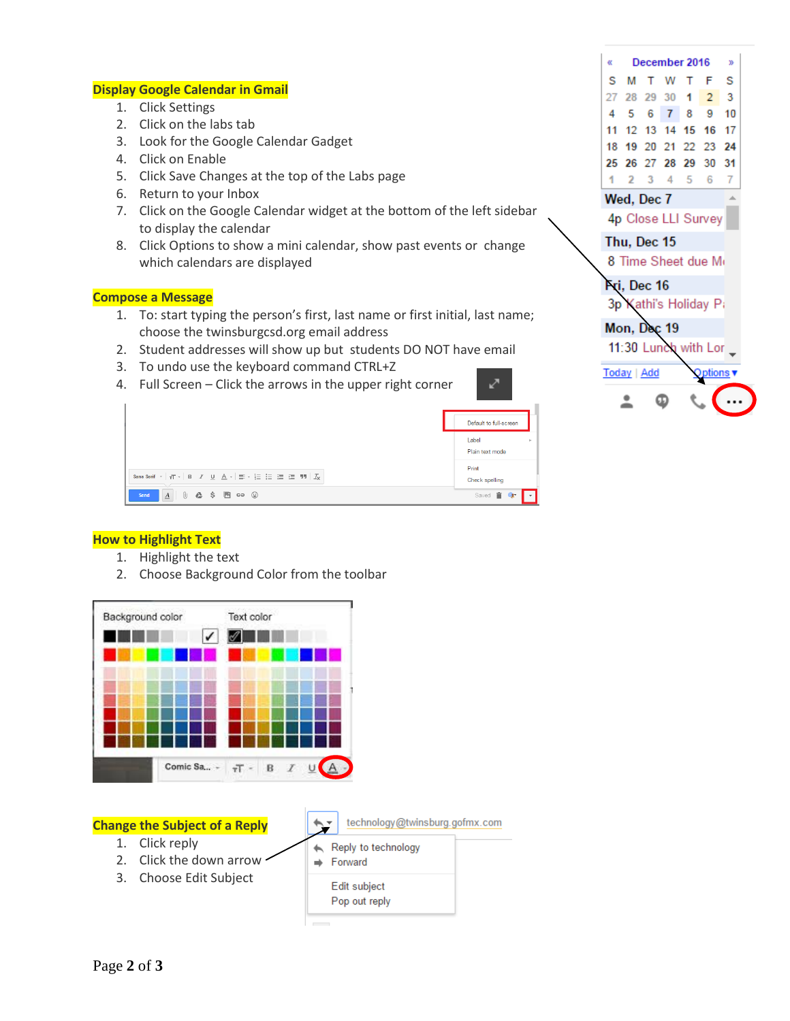### **Display Google Calendar in Gmail**

- 1. Click Settings
- 2. Click on the labs tab
- 3. Look for the Google Calendar Gadget
- 4. Click on Enable
- 5. Click Save Changes at the top of the Labs page
- 6. Return to your Inbox
- 7. Click on the Google Calendar widget at the bottom of the left sidebar to display the calendar
- 8. Click Options to show a mini calendar, show past events or change which calendars are displayed

## **Compose a Message**

- 1. To: start typing the person's first, last name or first initial, last name; choose the twinsburgcsd.org email address
- 2. Student addresses will show up but students DO NOT have email
- 3. To undo use the keyboard command CTRL+Z
- 4. Full Screen Click the arrows in the upper right corner

|                                                                         | Default to full-screen        |
|-------------------------------------------------------------------------|-------------------------------|
|                                                                         | Label<br>r<br>Plain text mode |
|                                                                         | Print<br>Check spelling       |
| $\underline{A}$ 0 $\underline{A}$ \$ $\underline{B}$ co $\odot$<br>Send | Saved <sup>1</sup>            |

#### **How to Highlight Text**

- 1. Highlight the text
- 2. Choose Background Color from the toolbar



#### **Change the Subject of a Reply**

- 1. Click reply
- 2. Click the down arrow -
- 3. Choose Edit Subject



| œ                              | December 2016<br>$\mathbf{v}$ |             |  |           |                       |    |  |
|--------------------------------|-------------------------------|-------------|--|-----------|-----------------------|----|--|
|                                |                               |             |  |           | S M T W T F S         |    |  |
|                                |                               |             |  |           | 27 28 29 30 1 2 3     |    |  |
|                                |                               |             |  |           | 4 5 6 7 8 9           | 10 |  |
|                                |                               |             |  |           | 11 12 13 14 15 16 17  |    |  |
|                                |                               |             |  |           | 18 19 20 21 22 23 24  |    |  |
|                                |                               |             |  |           | 25 26 27 28 29 30 31  |    |  |
| 1                              |                               |             |  | 2 3 4 5 6 |                       | 7  |  |
|                                |                               | Wed, Dec 7  |  |           |                       | ۸  |  |
| 4p Close LLI Survey            |                               |             |  |           |                       |    |  |
| Thu, Dec 15                    |                               |             |  |           |                       |    |  |
| 8 Time Sheet due Mo            |                               |             |  |           |                       |    |  |
|                                |                               | Fri, Dec 16 |  |           |                       |    |  |
|                                |                               |             |  |           | 3p Kathi's Holiday Pa |    |  |
| Mon, Dec 19                    |                               |             |  |           |                       |    |  |
| 11:30 Lunch with Lor _         |                               |             |  |           |                       |    |  |
| Today   Add<br><u>ptions</u> ▼ |                               |             |  |           |                       |    |  |
|                                |                               |             |  |           |                       |    |  |
|                                |                               |             |  |           |                       |    |  |